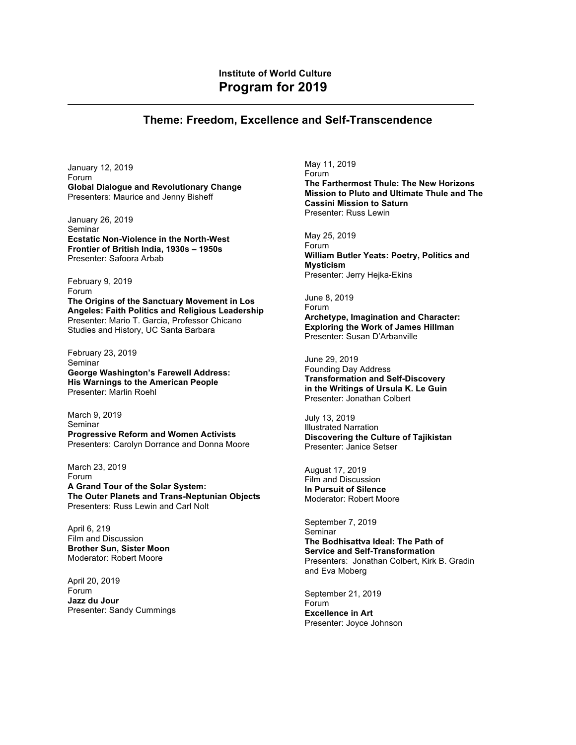## **Theme: Freedom, Excellence and Self-Transcendence**

January 12, 2019 Forum **Global Dialogue and Revolutionary Change** Presenters: Maurice and Jenny Bisheff

January 26, 2019 Seminar **Ecstatic Non-Violence in the North-West Frontier of British India, 1930s – 1950s** Presenter: Safoora Arbab

February 9, 2019 Forum **The Origins of the Sanctuary Movement in Los Angeles: Faith Politics and Religious Leadership** Presenter: Mario T. Garcia, Professor Chicano Studies and History, UC Santa Barbara

February 23, 2019 Seminar **George Washington's Farewell Address: His Warnings to the American People** Presenter: Marlin Roehl

March 9, 2019 Seminar **Progressive Reform and Women Activists** Presenters: Carolyn Dorrance and Donna Moore

March 23, 2019 Forum **A Grand Tour of the Solar System: The Outer Planets and Trans-Neptunian Objects** Presenters: Russ Lewin and Carl Nolt

April 6, 219 Film and Discussion **Brother Sun, Sister Moon** Moderator: Robert Moore

April 20, 2019 Forum **Jazz du Jour** Presenter: Sandy Cummings May 11, 2019 Forum **The Farthermost Thule: The New Horizons Mission to Pluto and Ultimate Thule and The Cassini Mission to Saturn** Presenter: Russ Lewin

May 25, 2019 Forum **William Butler Yeats: Poetry, Politics and Mysticism** Presenter: Jerry Hejka-Ekins

June 8, 2019 Forum **Archetype, Imagination and Character: Exploring the Work of James Hillman** Presenter: Susan D'Arbanville

June 29, 2019 Founding Day Address **Transformation and Self-Discovery in the Writings of Ursula K. Le Guin** Presenter: Jonathan Colbert

July 13, 2019 Illustrated Narration **Discovering the Culture of Tajikistan** Presenter: Janice Setser

August 17, 2019 Film and Discussion **In Pursuit of Silence** Moderator: Robert Moore

September 7, 2019 Seminar **The Bodhisattva Ideal: The Path of Service and Self-Transformation** Presenters: Jonathan Colbert, Kirk B. Gradin and Eva Moberg

September 21, 2019 Forum **Excellence in Art** Presenter: Joyce Johnson